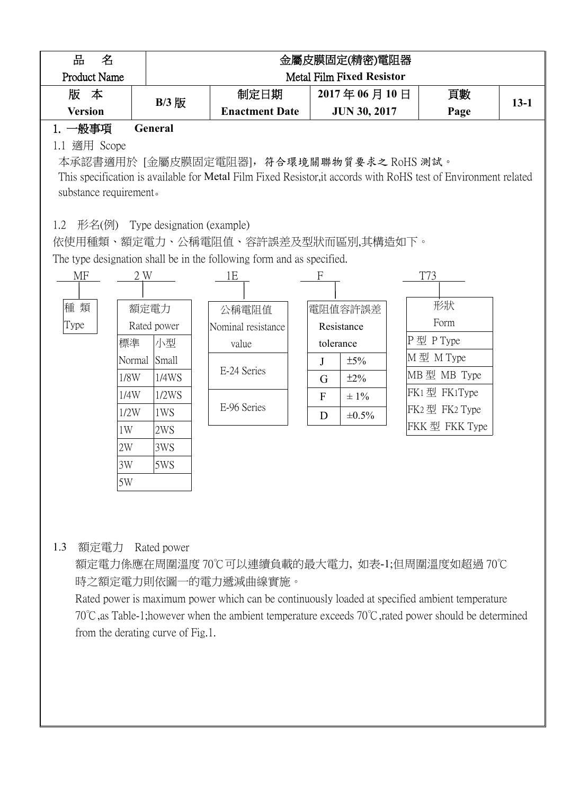| 品<br>名                 |                                  |       |                                                                                                                 |   | 金屬皮膜固定(精密)電阻器                    |           |                                        |        |
|------------------------|----------------------------------|-------|-----------------------------------------------------------------------------------------------------------------|---|----------------------------------|-----------|----------------------------------------|--------|
| <b>Product Name</b>    |                                  |       |                                                                                                                 |   | <b>Metal Film Fixed Resistor</b> |           |                                        |        |
| 版 本                    |                                  | B/3 版 | 制定日期                                                                                                            |   | 2017年06月10日                      |           | 頁數                                     | $13-1$ |
| <b>Version</b>         |                                  |       | <b>Enactment Date</b>                                                                                           |   | <b>JUN 30, 2017</b>              |           | Page                                   |        |
| 1. 一般事項                | General                          |       |                                                                                                                 |   |                                  |           |                                        |        |
| 適用 Scope               |                                  |       |                                                                                                                 |   |                                  |           |                                        |        |
|                        |                                  |       | 本承認書適用於 [金屬皮膜固定電阻器],符合環境關聯物質要求之 RoHS 測試。                                                                        |   |                                  |           |                                        |        |
|                        |                                  |       | This specification is available for Metal Film Fixed Resistor, it accords with RoHS test of Environment related |   |                                  |           |                                        |        |
| substance requirement. |                                  |       |                                                                                                                 |   |                                  |           |                                        |        |
|                        |                                  |       |                                                                                                                 |   |                                  |           |                                        |        |
| 1.2                    | 形名(例) Type designation (example) |       |                                                                                                                 |   |                                  |           |                                        |        |
|                        |                                  |       | 依使用種類、額定電力、公稱電阻值、容許誤差及型狀而區別,其構造如下。                                                                              |   |                                  |           |                                        |        |
|                        |                                  |       | The type designation shall be in the following form and as specified.                                           |   |                                  |           |                                        |        |
| МF                     | 2 W                              |       | 1E                                                                                                              | F |                                  | T73       |                                        |        |
|                        |                                  |       |                                                                                                                 |   |                                  |           |                                        |        |
| 種 類                    | 額定電力                             |       | 公稱電阻值                                                                                                           |   | 電阻值容許誤差                          |           | 形狀                                     |        |
| Type                   | Rated power                      |       | Nominal resistance                                                                                              |   | Resistance                       |           | Form                                   |        |
|                        | 標準                               | 小型    | value                                                                                                           |   | tolerance                        | P型 P Type |                                        |        |
|                        | Normal Small                     |       |                                                                                                                 | J | ±5%                              | M型 M Type |                                        |        |
|                        | 1/8W                             | 1/4WS | E-24 Series                                                                                                     | G | $\pm 2\%$                        |           | MB型 MB Type                            |        |
|                        | 1/4W                             | 1/2WS |                                                                                                                 | F | $\pm$ 1%                         |           | FK1型 FK1Type                           |        |
|                        | 1/2W                             | 1WS   | E-96 Series                                                                                                     | D | ±0.5%                            |           | FK <sub>2</sub> 型 FK <sub>2</sub> Type |        |
|                        | 1W                               | 2WS   |                                                                                                                 |   |                                  |           | FKK型 FKK Type                          |        |
|                        | 2W                               | 3WS   |                                                                                                                 |   |                                  |           |                                        |        |
|                        |                                  |       |                                                                                                                 |   |                                  |           |                                        |        |

## 1.3 額定電力 Rated power

 $3W$  |  $5WS$ 

5W

額定電力係應在周圍溫度 70℃可以連續負載的最大電力, 如表-1;但周圍溫度如超過 70℃ 時之額定電力則依圖一的電力遞減曲線實施。

Rated power is maximum power which can be continuously loaded at specified ambient temperature 70℃,as Table-1;however when the ambient temperature exceeds 70℃,rated power should be determined from the derating curve of Fig.1.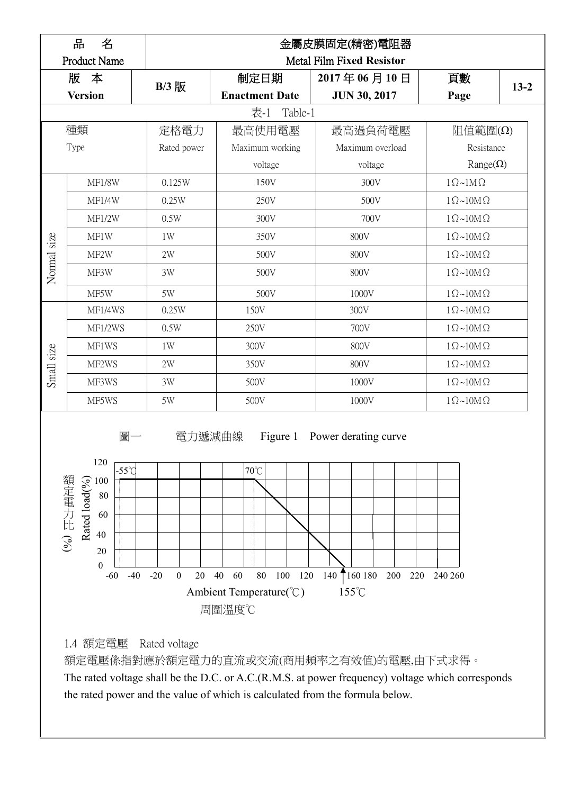|             | 品<br>名                                                                                                                          |                                           |                                                        | 金屬皮膜固定(精密)電阻器                                |                             |          |
|-------------|---------------------------------------------------------------------------------------------------------------------------------|-------------------------------------------|--------------------------------------------------------|----------------------------------------------|-----------------------------|----------|
|             | Product Name                                                                                                                    |                                           |                                                        | <b>Metal Film Fixed Resistor</b>             |                             |          |
|             | 版 本                                                                                                                             | $B/3$ 版                                   | 制定日期                                                   | 2017年06月10日                                  | 頁數                          | $13 - 2$ |
|             | <b>Version</b>                                                                                                                  |                                           | <b>Enactment Date</b>                                  | <b>JUN 30, 2017</b>                          | Page                        |          |
|             |                                                                                                                                 |                                           | 表-1<br>Table-1                                         |                                              |                             |          |
|             | 種類                                                                                                                              | 定格電力                                      | 最高使用電壓                                                 | 最高過負荷電壓                                      | 阻值範圍(Ω)                     |          |
|             | Type                                                                                                                            | Rated power                               | Maximum working                                        | Maximum overload                             | Resistance                  |          |
|             |                                                                                                                                 |                                           | voltage                                                | voltage                                      | $\text{Range}(\Omega)$      |          |
|             | <b>MF1/8W</b>                                                                                                                   | 0.125W                                    | 150V                                                   | 300V                                         | $1 \Omega \sim 1 M \Omega$  |          |
|             | MF1/4W                                                                                                                          | 0.25W                                     | 250V                                                   | 500V                                         | $1 \Omega \sim 10 M \Omega$ |          |
|             | MF1/2W                                                                                                                          | 0.5W                                      | 300V                                                   | 700V                                         | $1 \Omega \sim 10 M \Omega$ |          |
|             | MF1W                                                                                                                            | 1W                                        | 350V                                                   | <b>800V</b>                                  | $1 \Omega \sim 10 M \Omega$ |          |
|             | MF2W                                                                                                                            | 2W                                        | 500V                                                   | <b>800V</b>                                  | $1 \Omega \sim 10 M \Omega$ |          |
| Normal size | MF3W                                                                                                                            | 3W                                        | 500V                                                   | <b>800V</b>                                  | $1 \Omega \sim 10 M \Omega$ |          |
|             | MF5W                                                                                                                            | 5W                                        | 500V                                                   | 1000V                                        | $1 \Omega \sim 10 M \Omega$ |          |
|             | MF1/4WS                                                                                                                         | 0.25W                                     | 150V                                                   | 300V                                         | $1 \Omega \sim 10 M \Omega$ |          |
|             | MF1/2WS                                                                                                                         | 0.5W                                      | 250V                                                   | 700V                                         | $1 \Omega \sim 10 M \Omega$ |          |
|             | MF1WS                                                                                                                           | 1W                                        | 300V                                                   | <b>800V</b>                                  | $1 \Omega \sim 10 M \Omega$ |          |
|             | MF2WS                                                                                                                           | 2W                                        | 350V                                                   | <b>800V</b>                                  | $1 \Omega \sim 10 M \Omega$ |          |
| Small size  | MF3WS                                                                                                                           | $3\mathrm{W}$                             | 500V                                                   | 1000V                                        | $1 \Omega \sim 10 M \Omega$ |          |
|             | MF5WS                                                                                                                           | $5\mathrm{W}$                             | 500V                                                   | 1000V                                        | $1 \Omega \sim 10 M \Omega$ |          |
|             | 圖一<br>120<br>$-55^{\circ}$ C<br>額定電力比 (%)<br>Rated load(%)<br>100<br>80<br>60<br>40<br>20<br>$\boldsymbol{0}$<br>$-40$<br>$-60$ | 電力遞減曲線<br>$-20$<br>20<br>$\boldsymbol{0}$ | Figure 1<br>70°C<br>$80\quad 100\quad 120$<br>40<br>60 | Power derating curve<br>$140$ 160 180<br>200 | 220 240 260                 |          |
|             |                                                                                                                                 |                                           | Ambient Temperature(°C)                                | 155°C                                        |                             |          |
|             |                                                                                                                                 |                                           | 周圍溫度℃                                                  |                                              |                             |          |
|             | 1.4 額定電壓                                                                                                                        | Rated voltage                             |                                                        |                                              |                             |          |

額定電壓係指對應於額定電力的直流或交流(商用頻率之有效值)的電壓,由下式求得。 The rated voltage shall be the D.C. or A.C.(R.M.S. at power frequency) voltage which corresponds the rated power and the value of which is calculated from the formula below.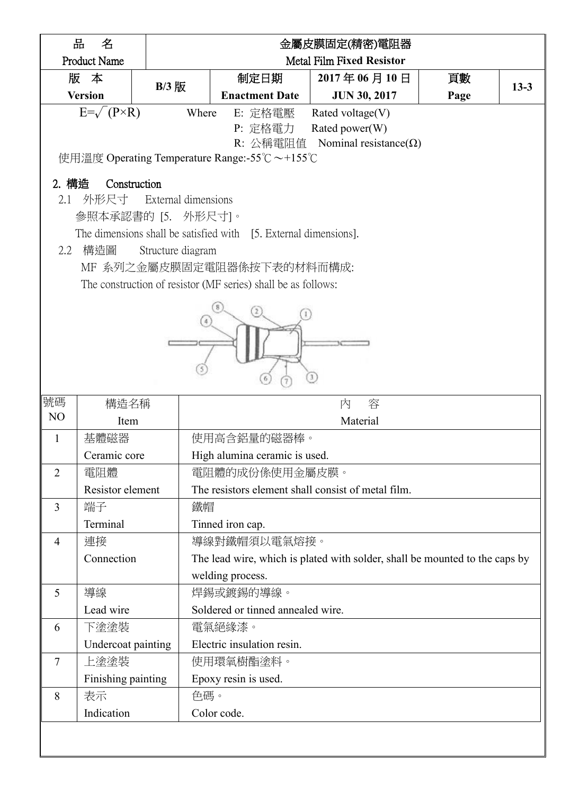|                | 굠<br>名               |                     |                                                                  | 金屬皮膜固定(精密)電阻器                                                               |      |          |
|----------------|----------------------|---------------------|------------------------------------------------------------------|-----------------------------------------------------------------------------|------|----------|
|                | <b>Product Name</b>  |                     |                                                                  | <b>Metal Film Fixed Resistor</b>                                            |      |          |
|                | 版 本                  |                     | 制定日期                                                             | 2017年06月10日                                                                 | 頁數   |          |
|                | <b>Version</b>       | B/3 版               | <b>Enactment Date</b>                                            | <b>JUN 30, 2017</b>                                                         | Page | $13 - 3$ |
|                | $E=\sqrt{P\times R}$ | Where               | E: 定格電壓                                                          | Rated voltage(V)                                                            |      |          |
|                |                      |                     | P: 定格電力                                                          | Rated power(W)                                                              |      |          |
|                |                      |                     |                                                                  | R: 公稱電阻值 Nominal resistance( $\Omega$ )                                     |      |          |
|                |                      |                     | 使用溫度 Operating Temperature Range:-55℃ ~+155℃                     |                                                                             |      |          |
| 2. 構造          | Construction         |                     |                                                                  |                                                                             |      |          |
| 2.1            | 外形尺寸                 | External dimensions |                                                                  |                                                                             |      |          |
|                | 參照本承認書的 [5. 外形尺寸]。   |                     |                                                                  |                                                                             |      |          |
|                |                      |                     | The dimensions shall be satisfied with [5. External dimensions]. |                                                                             |      |          |
| 2.2            | 構造圖                  | Structure diagram   |                                                                  |                                                                             |      |          |
|                |                      |                     | MF 系列之金屬皮膜固定電阻器係按下表的材料而構成:                                       |                                                                             |      |          |
|                |                      |                     | The construction of resistor (MF series) shall be as follows:    |                                                                             |      |          |
|                |                      |                     |                                                                  |                                                                             |      |          |
|                |                      | 4                   |                                                                  |                                                                             |      |          |
|                |                      |                     |                                                                  |                                                                             |      |          |
|                |                      |                     |                                                                  |                                                                             |      |          |
|                |                      |                     |                                                                  |                                                                             |      |          |
|                |                      |                     |                                                                  |                                                                             |      |          |
| 號碼             | 構造名稱                 |                     |                                                                  | 容<br>内                                                                      |      |          |
| N <sub>O</sub> | Item                 |                     |                                                                  | Material                                                                    |      |          |
| $\mathbf{1}$   | 基體磁器                 |                     | 使用高含鋁量的磁器棒。                                                      |                                                                             |      |          |
|                | Ceramic core         |                     | High alumina ceramic is used.                                    |                                                                             |      |          |
| $\overline{2}$ | 電阻體                  |                     | 電阻體的成份係使用金屬皮膜。                                                   |                                                                             |      |          |
|                | Resistor element     |                     |                                                                  | The resistors element shall consist of metal film.                          |      |          |
| $\overline{3}$ | 端子                   | 鐵帽                  |                                                                  |                                                                             |      |          |
|                | Terminal             |                     | Tinned iron cap.                                                 |                                                                             |      |          |
| 4              | 連接                   |                     | 導線對鐵帽須以電氣熔接。                                                     |                                                                             |      |          |
|                | Connection           |                     |                                                                  | The lead wire, which is plated with solder, shall be mounted to the caps by |      |          |
|                |                      |                     | welding process.                                                 |                                                                             |      |          |
| 5              | 導線                   |                     | 焊錫或鍍錫的導線。                                                        |                                                                             |      |          |
|                | Lead wire            |                     | Soldered or tinned annealed wire.                                |                                                                             |      |          |
| 6              | 下塗塗裝                 |                     | 電氣絕緣漆。                                                           |                                                                             |      |          |
|                | Undercoat painting   |                     | Electric insulation resin.                                       |                                                                             |      |          |
| $\overline{7}$ | 上塗塗裝                 |                     | 使用環氧樹酯塗料。                                                        |                                                                             |      |          |
|                | Finishing painting   |                     | Epoxy resin is used.                                             |                                                                             |      |          |
| 8              | 表示                   | 色碼。                 |                                                                  |                                                                             |      |          |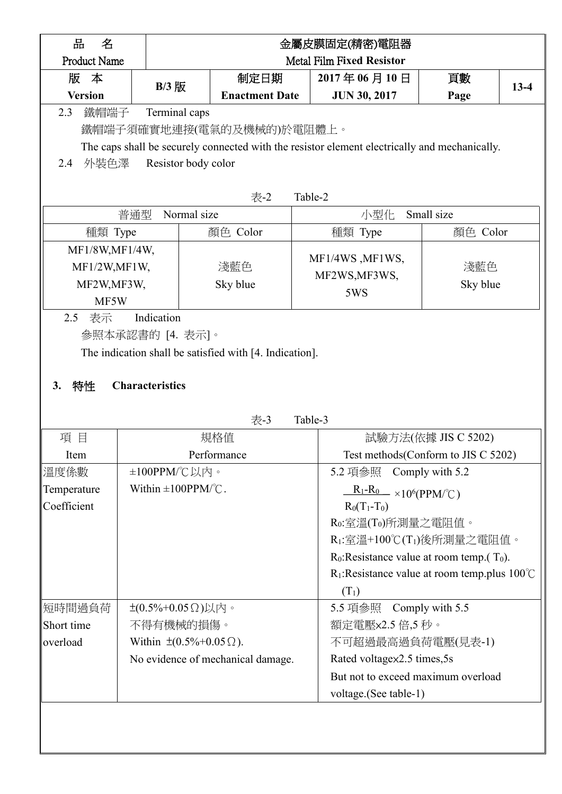| 品<br>名                |                                      |                                                         | 金屬皮膜固定(精密)電阻器                                                                                                 |                     |        |
|-----------------------|--------------------------------------|---------------------------------------------------------|---------------------------------------------------------------------------------------------------------------|---------------------|--------|
| <b>Product Name</b>   |                                      |                                                         | <b>Metal Film Fixed Resistor</b>                                                                              |                     |        |
| 版 本                   | $B/3$ 版                              | 制定日期                                                    | 2017年06月10日                                                                                                   | 頁數                  | $13-4$ |
| <b>Version</b>        |                                      | <b>Enactment Date</b>                                   | <b>JUN 30, 2017</b>                                                                                           | Page                |        |
| 鐵帽端子<br>2.3           | Terminal caps                        |                                                         |                                                                                                               |                     |        |
|                       |                                      | 鐵帽端子須確實地連接(電氣的及機械的)於電阻體上。                               |                                                                                                               |                     |        |
|                       |                                      |                                                         | The caps shall be securely connected with the resistor element electrically and mechanically.                 |                     |        |
| 外裝色澤<br>2.4           | Resistor body color                  |                                                         |                                                                                                               |                     |        |
|                       |                                      | 表-2                                                     | Table-2                                                                                                       |                     |        |
|                       | 普通型<br>Normal size                   |                                                         | 小型化                                                                                                           | Small size          |        |
| 種類 Type               |                                      | 顏色 Color                                                | 種類 Type                                                                                                       | 顏色 Color            |        |
| MF1/8W, MF1/4W,       |                                      |                                                         | MF1/4WS, MF1WS,                                                                                               |                     |        |
| MF1/2W,MF1W,          |                                      | 淺藍色                                                     | MF2WS, MF3WS,                                                                                                 | 淺藍色                 |        |
| MF2W, MF3W,           |                                      | Sky blue                                                | 5WS                                                                                                           | Sky blue            |        |
| MF5W                  |                                      |                                                         |                                                                                                               |                     |        |
| 表示<br>2.5             | Indication                           |                                                         |                                                                                                               |                     |        |
|                       |                                      |                                                         |                                                                                                               |                     |        |
|                       | 參照本承認書的 [4. 表示]。                     |                                                         |                                                                                                               |                     |        |
|                       |                                      | The indication shall be satisfied with [4. Indication]. |                                                                                                               |                     |        |
|                       |                                      |                                                         |                                                                                                               |                     |        |
| 特性<br>3.              | <b>Characteristics</b>               |                                                         |                                                                                                               |                     |        |
|                       |                                      |                                                         | Table-3                                                                                                       |                     |        |
|                       |                                      | 表-3                                                     |                                                                                                               |                     |        |
| 項目<br>Item            |                                      | 規格值<br>Performance                                      | Test methods (Conform to JIS C 5202)                                                                          | 試驗方法(依據 JIS C 5202) |        |
|                       | ±100PPM/℃以内。                         |                                                         | 5.2 項參照                                                                                                       | Comply with 5.2     |        |
|                       | Within $\pm 100$ PPM/°C.             |                                                         |                                                                                                               |                     |        |
| Temperature           |                                      |                                                         | $\frac{R_1-R_0}{\sqrt{1-\frac{1}{2}R_0}} \times 10^6 (PPM/\text{C})$<br>$R_0(T_1-T_0)$                        |                     |        |
| 溫度係數                  |                                      |                                                         | Ro:室溫(To)所測量之電阻值。                                                                                             |                     |        |
|                       |                                      |                                                         | Rı:室溫+100℃(Tı)後所測量之電阻值。                                                                                       |                     |        |
|                       |                                      |                                                         |                                                                                                               |                     |        |
|                       |                                      |                                                         | $R_0$ : Resistance value at room temp. (T <sub>0</sub> ).<br>$R_1$ : Resistance value at room temp.plus 100°C |                     |        |
| Coefficient           |                                      |                                                         |                                                                                                               |                     |        |
|                       | $\pm (0.5\% + 0.05 \Omega)$ 以内。      |                                                         | $(T_1)$<br>5.5 項參照 Comply with 5.5                                                                            |                     |        |
| 短時間過負荷 <br>Short time | 不得有機械的損傷。                            |                                                         | 額定電壓x2.5倍,5秒。                                                                                                 |                     |        |
|                       | Within $\pm (0.5\% + 0.05 \Omega)$ . |                                                         |                                                                                                               |                     |        |
| overload              |                                      | No evidence of mechanical damage.                       | 不可超過最高過負荷電壓(見表-1)                                                                                             |                     |        |
|                       |                                      |                                                         | Rated voltagex2.5 times,5s<br>But not to exceed maximum overload                                              |                     |        |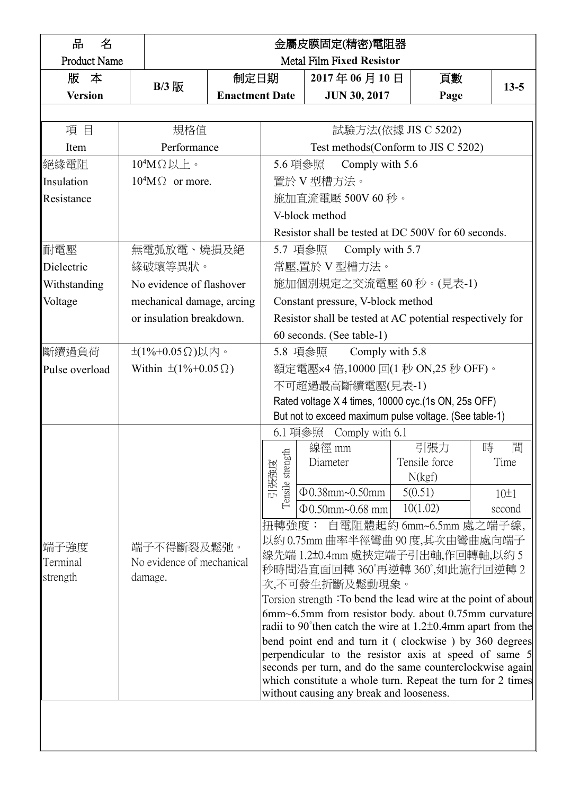|                     |         |                                 |                       |                                      | 金屬皮膜固定(精密)電阻器                                                                                                          |                         |                |  |  |  |  |
|---------------------|---------|---------------------------------|-----------------------|--------------------------------------|------------------------------------------------------------------------------------------------------------------------|-------------------------|----------------|--|--|--|--|
| <b>Product Name</b> |         |                                 |                       |                                      | <b>Metal Film Fixed Resistor</b>                                                                                       |                         |                |  |  |  |  |
| 版 本                 |         |                                 | 制定日期                  |                                      | 2017年06月10日                                                                                                            | 頁數                      |                |  |  |  |  |
| <b>Version</b>      |         | B/3 版                           | <b>Enactment Date</b> |                                      | <b>JUN 30, 2017</b>                                                                                                    | Page                    | $13 - 5$       |  |  |  |  |
|                     |         |                                 |                       |                                      |                                                                                                                        |                         |                |  |  |  |  |
| 項目                  |         | 規格值                             |                       |                                      |                                                                                                                        | 試驗方法(依據 JIS C 5202)     |                |  |  |  |  |
| Item                |         | Performance                     |                       | Test methods (Conform to JIS C 5202) |                                                                                                                        |                         |                |  |  |  |  |
| ⊪絕緣電阻               |         | $10^4 M \Omega \boxtimes \pm$ 。 |                       |                                      | 5.6 項參照<br>Comply with 5.6                                                                                             |                         |                |  |  |  |  |
| Insulation          |         | $10^4$ M $\Omega$ or more.      |                       |                                      | 置於 V 型槽方法。                                                                                                             |                         |                |  |  |  |  |
| Resistance          |         |                                 |                       |                                      | 施加直流電壓 500V 60 秒。                                                                                                      |                         |                |  |  |  |  |
|                     |         |                                 |                       |                                      | V-block method                                                                                                         |                         |                |  |  |  |  |
|                     |         |                                 |                       |                                      | Resistor shall be tested at DC 500V for 60 seconds.                                                                    |                         |                |  |  |  |  |
| 耐電壓                 |         | 無電弧放電、燒損及絕                      |                       |                                      | 5.7 項參照<br>Comply with 5.7                                                                                             |                         |                |  |  |  |  |
| Dielectric          |         | 緣破壞等異狀。                         |                       |                                      | 常壓,置於V型槽方法。                                                                                                            |                         |                |  |  |  |  |
| Withstanding        |         | No evidence of flashover        |                       |                                      | 施加個別規定之交流電壓 60 秒。(見表-1)                                                                                                |                         |                |  |  |  |  |
| ∥Voltage            |         | mechanical damage, arcing       |                       |                                      | Constant pressure, V-block method                                                                                      |                         |                |  |  |  |  |
|                     |         | or insulation breakdown.        |                       |                                      | Resistor shall be tested at AC potential respectively for                                                              |                         |                |  |  |  |  |
|                     |         |                                 |                       |                                      | 60 seconds. (See table-1)                                                                                              |                         |                |  |  |  |  |
| ▒續過負荷               |         | $\pm (1\% + 0.05 \Omega)$ 以内。   |                       |                                      | Comply with 5.8<br>5.8 項參照                                                                                             |                         |                |  |  |  |  |
| Pulse overload      |         | Within $\pm(1\% + 0.05 \Omega)$ |                       |                                      | 額定電壓x4倍,10000回(1秒 ON,25 秒 OFF)。                                                                                        |                         |                |  |  |  |  |
|                     |         |                                 |                       |                                      | 不可超過最高斷續電壓(見表-1)                                                                                                       |                         |                |  |  |  |  |
|                     |         |                                 |                       |                                      | Rated voltage X 4 times, 10000 cyc.(1s ON, 25s OFF)                                                                    |                         |                |  |  |  |  |
|                     |         |                                 |                       |                                      | But not to exceed maximum pulse voltage. (See table-1)                                                                 |                         |                |  |  |  |  |
|                     |         |                                 |                       | 6.1 項參照                              | Comply with 6.1                                                                                                        |                         |                |  |  |  |  |
|                     |         |                                 |                       |                                      | 線徑 mm<br>Diameter                                                                                                      | 引張力<br>Tensile force    | 時<br>間<br>Time |  |  |  |  |
|                     |         |                                 |                       | 引張強度                                 |                                                                                                                        | N(kgf)                  |                |  |  |  |  |
|                     |         |                                 |                       | Tensile strength                     | $\Phi$ 0.38mm~0.50mm                                                                                                   | 5(0.51)                 | 10±1           |  |  |  |  |
|                     |         |                                 |                       |                                      | $\Phi$ 0.50mm~0.68 mm                                                                                                  | 10(1.02)                | second         |  |  |  |  |
|                     |         |                                 |                       | 扭轉強度:                                |                                                                                                                        | 自電阻體起約 6mm~6.5mm 處之端子線, |                |  |  |  |  |
| ∥端子強度               |         | 端子不得斷裂及鬆弛。                      |                       |                                      | 以約 0.75mm 曲率半徑彎曲 90 度,其次由彎曲處向端子                                                                                        |                         |                |  |  |  |  |
| Terminal            |         | No evidence of mechanical       |                       |                                      | 線先端 1.2±0.4mm 處挾定端子引出軸,作回轉軸,以約 5                                                                                       |                         |                |  |  |  |  |
| ∥strength           | damage. |                                 |                       |                                      | 秒時間沿直面回轉 360°再逆轉 360°,如此施行回逆轉 2                                                                                        |                         |                |  |  |  |  |
|                     |         |                                 |                       |                                      | 次,不可發生折斷及鬆動現象。<br>Torsion strength : To bend the lead wire at the point of about                                       |                         |                |  |  |  |  |
|                     |         |                                 |                       |                                      | 6mm~6.5mm from resistor body. about 0.75mm curvature                                                                   |                         |                |  |  |  |  |
|                     |         |                                 |                       |                                      | radii to 90 <sup>°</sup> then catch the wire at 1.2 $\pm$ 0.4mm apart from the                                         |                         |                |  |  |  |  |
|                     |         |                                 |                       |                                      | bend point end and turn it (clockwise) by 360 degrees                                                                  |                         |                |  |  |  |  |
|                     |         |                                 |                       |                                      | perpendicular to the resistor axis at speed of same 5                                                                  |                         |                |  |  |  |  |
|                     |         |                                 |                       |                                      | seconds per turn, and do the same counterclockwise again<br>which constitute a whole turn. Repeat the turn for 2 times |                         |                |  |  |  |  |
|                     |         |                                 |                       |                                      | without causing any break and looseness.                                                                               |                         |                |  |  |  |  |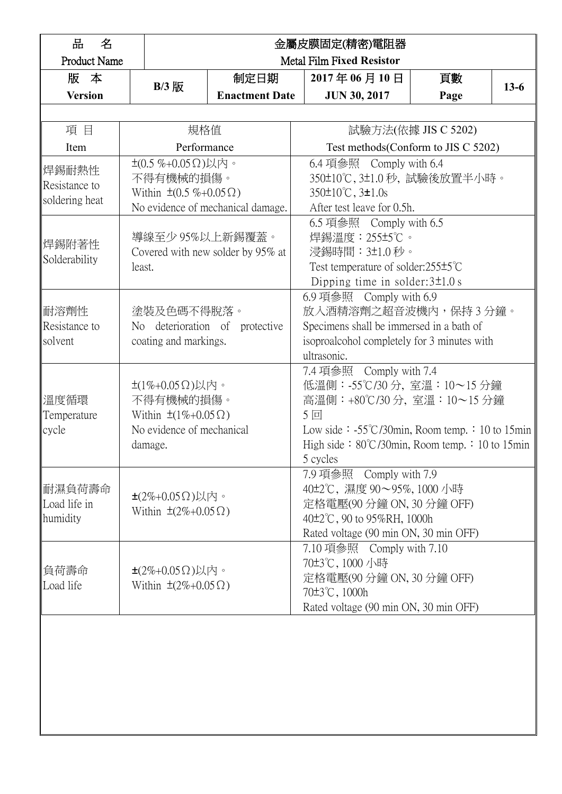| 品<br>名                                                                                                                                                    |                                                                                |                                                     |  | 金屬皮膜固定(精密)電阻器                                                                                                                                                                                                                    |      |        |
|-----------------------------------------------------------------------------------------------------------------------------------------------------------|--------------------------------------------------------------------------------|-----------------------------------------------------|--|----------------------------------------------------------------------------------------------------------------------------------------------------------------------------------------------------------------------------------|------|--------|
| <b>Product Name</b>                                                                                                                                       |                                                                                |                                                     |  | <b>Metal Film Fixed Resistor</b>                                                                                                                                                                                                 |      |        |
| 版 本                                                                                                                                                       | $B/3$ 版                                                                        | 制定日期                                                |  | 2017年06月10日                                                                                                                                                                                                                      | 頁數   | $13-6$ |
| <b>Version</b>                                                                                                                                            |                                                                                | <b>Enactment Date</b>                               |  | <b>JUN 30, 2017</b>                                                                                                                                                                                                              | Page |        |
|                                                                                                                                                           |                                                                                |                                                     |  |                                                                                                                                                                                                                                  |      |        |
| 項目                                                                                                                                                        |                                                                                | 規格值                                                 |  | 試驗方法(依據 JIS C 5202)                                                                                                                                                                                                              |      |        |
| Item                                                                                                                                                      |                                                                                | Performance                                         |  | Test methods (Conform to JIS C 5202)                                                                                                                                                                                             |      |        |
| $±$ (0.5 %+0.05Ω)以内。<br>焊錫耐熱性<br>不得有機械的損傷。<br>Resistance to<br>Within $\pm (0.5 \% + 0.05 \Omega)$<br>soldering heat<br>No evidence of mechanical damage. |                                                                                |                                                     |  | 6.4 項參照 Comply with 6.4<br>350±10℃, 3±1.0 秒, 試驗後放置半小時。<br>$350\pm10^{\circ}$ C, $3\pm1.0s$<br>After test leave for 0.5h.                                                                                                         |      |        |
| 焊錫附著性<br>Solderability                                                                                                                                    | least.                                                                         | 導線至少95%以上新錫覆蓋。<br>Covered with new solder by 95% at |  | 6.5 項參照 Comply with 6.5<br>焊錫溫度:255±5℃。<br>浸錫時間:3±1.0 秒。<br>Test temperature of solder: $255\pm5^{\circ}$ C<br>Dipping time in solder: $3\pm1.0$ s                                                                               |      |        |
| 耐溶劑性<br>Resistance to<br>solvent                                                                                                                          | coating and markings.                                                          | 塗裝及色碼不得脫落。<br>No deterioration of protective        |  | 6.9 項參照 Comply with 6.9<br>放入酒精溶劑之超音波機內,保持3分鐘。<br>Specimens shall be immersed in a bath of<br>isoproalcohol completely for 3 minutes with<br>ultrasonic.                                                                         |      |        |
| 溫度循環<br>Temperature<br>∥cycle                                                                                                                             | $\pm$ (1%+0.05Ω)以内。<br>不得有機械的損傷。<br>Within $\pm(1\% + 0.05 \Omega)$<br>damage. | No evidence of mechanical                           |  | 7.4 項參照 Comply with 7.4<br>低溫側: -55℃/30分, 室溫: 10~15分鐘<br>高溫側: +80℃/30分, 室溫: 10~15分鐘<br>$5 \n  \boxed{\square}Low side: -55^{\circ}C/30min, Room temp.: 10 to 15minHigh side: 80^{\circ}C/30min, Room temp.: 10 to 15min5 cycles$ |      |        |
| ∥耐濕負荷壽命<br>Load life in<br>humidity                                                                                                                       | $\pm (2\% + 0.05 \Omega)$ 以内。<br>Within $\pm (2\% + 0.05 \Omega)$              |                                                     |  | 7.9 項參照 Comply with 7.9<br>40±2℃, 濕度90~95%, 1000 小時<br>定格電壓(90 分鐘 ON, 30 分鐘 OFF)<br>40±2°C, 90 to 95%RH, 1000h<br>Rated voltage (90 min ON, 30 min OFF)                                                                          |      |        |
| 負荷壽命<br>∥Load life                                                                                                                                        | $\pm$ (2%+0.05Ω)以內。<br>Within $\pm(2\%+0.05\,\Omega)$                          |                                                     |  | 7.10 項參照 Comply with 7.10<br>70±3℃, 1000 小時<br>定格電壓(90 分鐘 ON, 30 分鐘 OFF)<br>70±3°C, 1000h<br>Rated voltage (90 min ON, 30 min OFF)                                                                                               |      |        |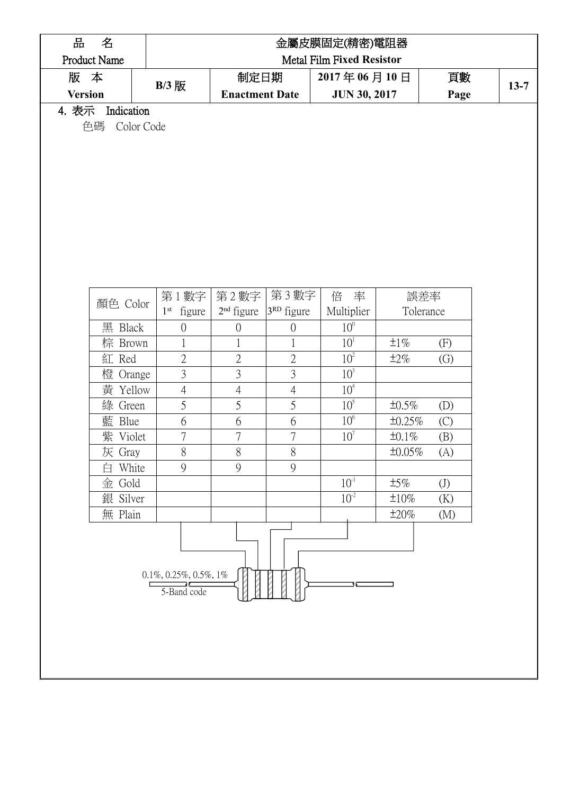| Product Name        |                |                       |                | 金屬皮膜固定(精密)電阻器                    |           |                   |          |
|---------------------|----------------|-----------------------|----------------|----------------------------------|-----------|-------------------|----------|
|                     |                |                       |                | <b>Metal Film Fixed Resistor</b> |           |                   |          |
| 版 本                 | B/3 版          | 制定日期                  |                | 2017年06月10日                      |           | 頁數                | $13 - 7$ |
| <b>Version</b>      |                | <b>Enactment Date</b> |                | <b>JUN 30, 2017</b>              |           | Page              |          |
| 4. 表示<br>Indication |                |                       |                |                                  |           |                   |          |
| 色碼<br>Color Code    |                |                       |                |                                  |           |                   |          |
|                     |                |                       |                |                                  |           |                   |          |
|                     |                |                       |                |                                  |           |                   |          |
|                     |                |                       |                |                                  |           |                   |          |
|                     |                |                       |                |                                  |           |                   |          |
|                     |                |                       |                |                                  |           |                   |          |
|                     |                |                       |                |                                  |           |                   |          |
|                     |                |                       |                |                                  |           |                   |          |
|                     |                |                       |                |                                  |           |                   |          |
|                     |                |                       |                |                                  |           |                   |          |
|                     |                |                       |                |                                  |           |                   |          |
| 顏色 Color            | 第1數字           | 第2數字                  | 第3數字           | 倍<br>率                           | 誤差率       |                   |          |
|                     | $1st$ figure   | $2nd$ figure          | $3RD$ figure   | Multiplier                       | Tolerance |                   |          |
| 黑 Black             | $\overline{0}$ | $\boldsymbol{0}$      | $\overline{0}$ | $10^{\circ}$                     |           |                   |          |
| 棕 Brown             | $\mathbf{1}$   | $\mathbf{1}$          | $\mathbf{1}$   | 10 <sup>1</sup>                  | $\pm 1\%$ | (F)               |          |
| 紅 Red               | $\sqrt{2}$     | $\sqrt{2}$            | $\mathfrak{2}$ | 10 <sup>2</sup>                  | $\pm 2\%$ | $\left( G\right)$ |          |
| 橙 Orange            | $\mathfrak{Z}$ | $\mathfrak{Z}$        | 3              | 10 <sup>3</sup>                  |           |                   |          |
| 黃 Yellow            | $\overline{4}$ | $\overline{4}$        | $\overline{4}$ | 10 <sup>4</sup>                  |           |                   |          |
|                     | 5              | 5                     | 5              | 10 <sup>5</sup>                  | ±0.5%     | (D)               |          |
| 綠 Green             |                | 6                     | 6              | 10 <sup>6</sup>                  | ±0.25%    | (C)               |          |
| 藍 Blue              | 6              |                       |                |                                  |           |                   |          |
| 紫<br>Violet         | $\overline{7}$ | $\boldsymbol{7}$      | $\overline{7}$ | $10^7$                           | ±0.1%     | (B)               |          |
| 灰 Gray              | 8              | 8                     | 8              |                                  | ±0.05%    | (A)               |          |
| 白 White             | 9              | 9                     | 9              |                                  |           |                   |          |
| 金 Gold              |                |                       |                | $10^{-1}$                        | ±5%       | (J)               |          |
| 銀 Silver            |                |                       |                | $10^{-2}$                        | $±10\%$   | (K)               |          |
| 無 Plain             |                |                       |                |                                  | ±20%      | (M)               |          |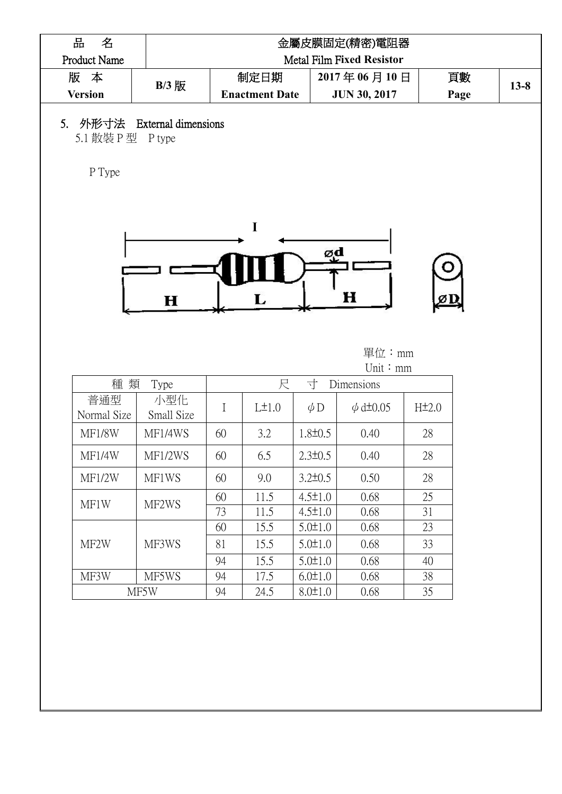| 名<br>品                          |                            |             |                       |               | 金屬皮膜固定(精密)電阻器                             |                    |
|---------------------------------|----------------------------|-------------|-----------------------|---------------|-------------------------------------------|--------------------|
| Product Name                    |                            |             |                       |               | Metal Film Fixed Resistor                 |                    |
| 版 本                             | B/3 版                      |             | 制定日期                  |               | 2017年06月10日                               | 頁數                 |
| <b>Version</b>                  |                            |             | <b>Enactment Date</b> |               | <b>JUN 30, 2017</b>                       | Page               |
| 外形寸法<br>5.<br>5.1 散裝 P 型 P type | <b>External dimensions</b> |             |                       |               |                                           |                    |
| P Type                          |                            |             |                       |               |                                           |                    |
|                                 | $\mathbf H$                |             | L                     | ød            | $\mathbf H$                               |                    |
| 種類                              | Type                       |             | 尺                     | 寸             | 單位:mm<br>Unit: mm<br>Dimensions           |                    |
| 普通型<br>Normal Size              | 小型化<br>Small Size          | $\mathbf I$ | $L\pm1.0$             | $\phi$ D      | $\phi$ d <sup><math>\pm</math></sup> 0.05 | H <sup>±</sup> 2.0 |
| <b>MF1/8W</b>                   | MF1/4WS                    | 60          | 3.2                   | $1.8 \pm 0.5$ | 0.40                                      | 28                 |
| MF1/4W                          | MF1/2WS                    | 60          | 6.5                   | $2.3 \pm 0.5$ | 0.40                                      | 28                 |
| MF1/2W                          | MF1WS                      | 60          | 9.0                   | $3.2 \pm 0.5$ | 0.50                                      | 28                 |
|                                 |                            | 60          | 11.5                  | $4.5 \pm 1.0$ | 0.68                                      | 25                 |
| MF1W                            | MF2WS                      | 73          | 11.5                  | $4.5 \pm 1.0$ | 0.68                                      | 31                 |
|                                 |                            | 60          | 15.5                  | $5.0 \pm 1.0$ | 0.68                                      | 23                 |
| MF2W                            | MF3WS                      | 81          | 15.5                  | $5.0 \pm 1.0$ | 0.68                                      | 33                 |
|                                 |                            | 94          | 15.5                  | $5.0 \pm 1.0$ | 0.68                                      | 40                 |
| MF3W                            | MF5WS                      | 94          | 17.5                  | $6.0 \pm 1.0$ | 0.68                                      | 38                 |

MF5W | 94 | 24.5 | 8.0±1.0 | 0.68 | 35 |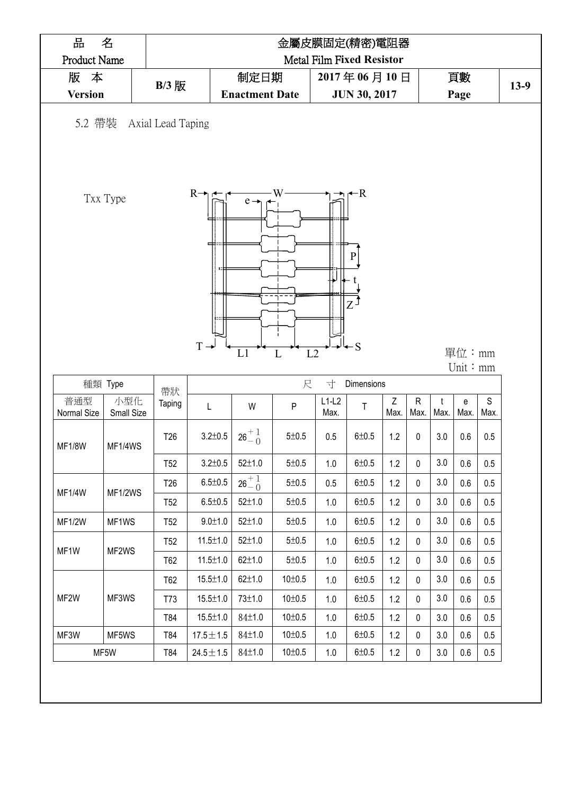| 品                                      | 名                        |                 |                                  |                       | 金屬皮膜固定(精密)電阻器                     |                 |                                  |                     |                            |            |            |                     |
|----------------------------------------|--------------------------|-----------------|----------------------------------|-----------------------|-----------------------------------|-----------------|----------------------------------|---------------------|----------------------------|------------|------------|---------------------|
| Product Name                           |                          |                 |                                  |                       |                                   |                 | <b>Metal Film Fixed Resistor</b> |                     |                            |            |            |                     |
| 版 本                                    |                          | B/3 版           |                                  | 制定日期                  |                                   |                 | 2017年06月10日                      |                     |                            |            | 頁數         |                     |
| <b>Version</b>                         |                          |                 |                                  | <b>Enactment Date</b> |                                   |                 | <b>JUN 30, 2017</b>              |                     |                            |            | Page       |                     |
|                                        | 5.2 帶裝 Axial Lead Taping |                 |                                  |                       |                                   |                 |                                  |                     |                            |            |            |                     |
|                                        | Txx Type                 |                 | $R \rightarrow$                  | $e -$                 |                                   |                 | $-R$<br>P<br>$\mathsf{L}$        |                     |                            |            |            |                     |
|                                        |                          |                 | $T \rightarrow$                  | L1                    | $\overline{L2}$<br>$\overline{L}$ |                 |                                  |                     |                            |            | 單位:mm      |                     |
|                                        |                          |                 |                                  |                       |                                   |                 |                                  |                     |                            |            | Unit: mm   |                     |
|                                        | 種類 Type                  | 帶狀              |                                  |                       | 尺                                 | 寸               | Dimensions                       |                     |                            |            |            |                     |
| 普通型<br>Normal Size                     | 小型化<br>Small Size        | Taping          | L                                | W                     | $\sf P$                           | $L1-L2$<br>Max. | $\top$                           | $\mathsf Z$<br>Max. | $\mathsf{R}$<br>Max.       | Max.       | e<br>Max.  | $\mathsf S$<br>Max. |
| <b>MF1/8W</b>                          | MF1/4WS                  | T <sub>26</sub> | $3.2 \pm 0.5$                    | $26^{+1}_{-0}$        | 5 ± 0.5                           | 0.5             | 6 ± 0.5                          | 1.2                 | 0                          | 3.0        | 0.6        | 0.5                 |
|                                        |                          | T <sub>52</sub> | $3.2 \pm 0.5$                    | $52 \pm 1.0$          | 5 ± 0.5                           | 1.0             | $6 + 0.5$                        | 1.2                 | 0                          | 3.0        | 0.6        | 0.5                 |
|                                        |                          | T <sub>26</sub> | $6.5 \pm 0.5$                    | $26^{+1}_{-0}$        | 5 ± 0.5                           | 0.5             | $6 + 0.5$                        | 1.2                 | $\mathbf 0$                | 3.0        | 0.6        | $0.5\,$             |
|                                        | MF1/2WS                  | <b>T52</b>      | $6.5 \pm 0.5$                    | $52 \pm 1.0$          | 5 ± 0.5                           | 1.0             | 6±0.5                            | 1.2                 | $\mathbf 0$                | 3.0        | 0.6        | 0.5                 |
|                                        | MF1WS                    | <b>T52</b>      | $9.0 + 1.0$                      | $52 \pm 1.0$          | 5 ± 0.5                           | 1.0             | $6 + 0.5$                        | 1.2                 | $\mathbf 0$                | 3.0        | 0.6        | 0.5                 |
|                                        |                          | T <sub>52</sub> | $11.5 \pm 1.0$                   | $52 \pm 1.0$          | 5 ± 0.5                           | 1.0             | $6 + 0.5$                        | 1.2                 | $\mathbf 0$                | 3.0        | 0.6        | 0.5                 |
|                                        | MF2WS                    |                 | $11.5 \pm 1.0$                   | $62 \pm 1.0$          | 5 ± 0.5                           |                 | $6 + 0.5$                        |                     | $\mathbf 0$                | 3.0        |            |                     |
| <b>MF1/4W</b><br><b>MF1/2W</b><br>MF1W |                          | T62             |                                  |                       |                                   | 1.0             |                                  | 1.2                 |                            |            | 0.6        | 0.5                 |
|                                        |                          | T62             | $15.5 \pm 1.0$                   | $62 \pm 1.0$          | $10 \pm 0.5$                      | 1.0             | $6 + 0.5$                        | 1.2                 | $\pmb{0}$                  | 3.0        | 0.6        | 0.5                 |
| MF2W                                   | MF3WS                    | T73             | $15.5 \pm 1.0$                   | 73±1.0                | $10 \pm 0.5$                      | 1.0             | $6 + 0.5$                        | 1.2                 | $\mathbf 0$                | 3.0        | 0.6        | 0.5                 |
| MF3W                                   | MF5WS                    | T84<br>T84      | $15.5 \pm 1.0$<br>$17.5 \pm 1.5$ | 84±1.0<br>84±1.0      | $10 \pm 0.5$<br>$10 \pm 0.5$      | 1.0<br>1.0      | $6 + 0.5$<br>$6 + 0.5$           | 1.2<br>1.2          | $\mathbf 0$<br>$\mathbf 0$ | 3.0<br>3.0 | 0.6<br>0.6 | 0.5<br>0.5          |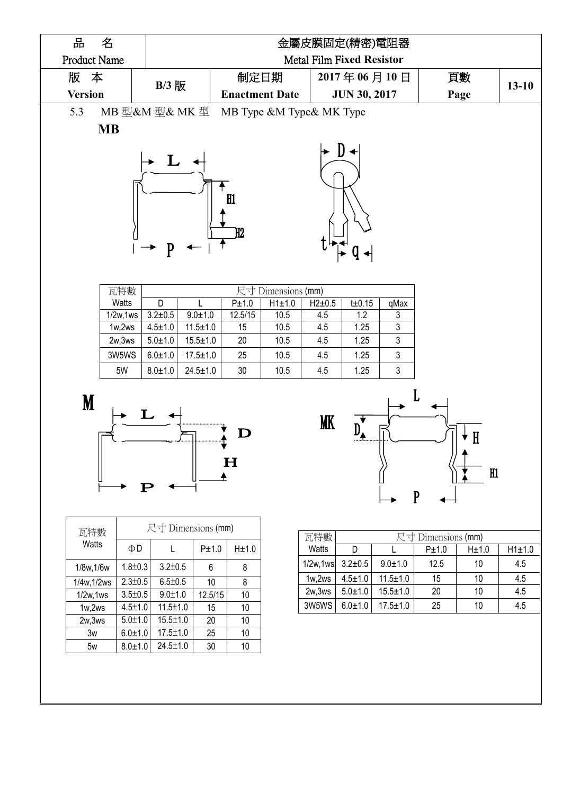| 品<br>名         |                  |                              |                                  |                            |                          |                           |                                    | 金屬皮膜固定(精密)電阻器  |                             |                         |           |
|----------------|------------------|------------------------------|----------------------------------|----------------------------|--------------------------|---------------------------|------------------------------------|----------------|-----------------------------|-------------------------|-----------|
| Product Name   |                  |                              |                                  |                            |                          | Metal Film Fixed Resistor |                                    |                |                             |                         |           |
| 版 本            |                  |                              |                                  | 制定日期                       |                          |                           |                                    | 2017年06月10日    |                             | 頁數                      |           |
| <b>Version</b> |                  | B/3 版                        |                                  |                            | <b>Enactment Date</b>    |                           | <b>JUN 30, 2017</b>                |                |                             | Page                    | $13 - 10$ |
| 5.3            |                  | MB 型&M 型& MK 型               |                                  |                            | MB Type &M Type& MK Type |                           |                                    |                |                             |                         |           |
| <b>MB</b>      |                  |                              |                                  |                            |                          |                           |                                    |                |                             |                         |           |
|                |                  | P                            |                                  | H1<br>H2                   |                          |                           |                                    |                |                             |                         |           |
|                | 瓦特數              |                              |                                  |                            | 尺寸 Dimensions (mm)       |                           |                                    |                |                             |                         |           |
|                | Watts            | D                            |                                  | P±1.0                      | H1±1.0                   | $H2\pm0.5$                | $t\pm 0.15$                        | qMax           |                             |                         |           |
|                | 1/2w, 1ws        | $3.2 \pm 0.5$                | $9.0 + 1.0$                      | 12.5/15                    | 10.5                     | 4.5                       | 1.2                                | 3              |                             |                         |           |
|                | 1w,2ws<br>2w,3ws | $4.5 \pm 1.0$<br>$5.0 + 1.0$ | $11.5 \pm 1.0$<br>$15.5 \pm 1.0$ | 15<br>20                   | 10.5<br>10.5             | 4.5<br>4.5                | 1.25<br>1.25                       | 3<br>3         |                             |                         |           |
|                | 3W5WS            | $6.0 + 1.0$                  | $17.5 \pm 1.0$                   | 25                         | 10.5                     | 4.5                       | 1.25                               | 3              |                             |                         |           |
|                | 5W               | $8.0 + 1.0$                  | $24.5 \pm 1.0$                   | 30                         | 10.5                     | 4.5                       | 1.25                               | 3              |                             |                         |           |
|                |                  |                              |                                  |                            |                          |                           |                                    |                |                             |                         |           |
| M              | ${\bf P}$        |                              |                                  | $\mathbf D$<br>$\mathbf H$ |                          | МK                        | $D_{\lambda}^{\blacktriangledown}$ |                | $\mathbf{P}$                | $\mathbf{H}$<br>╈<br>H1 |           |
| 瓦特數            |                  | 尺寸 Dimensions (mm)           |                                  |                            |                          |                           |                                    |                |                             |                         |           |
| Watts          | $\Phi$ D         |                              | P±1.0                            | $H\pm1.0$                  |                          | 瓦特數<br>Watts              | D                                  |                | 尺寸 Dimensions (mm)<br>P±1.0 | H±1.0                   | H1±1.0    |
| 1/8w, 1/6w     | $1.8 + 0.3$      | $3.2 \pm 0.5$                | $6\,$                            | 8                          |                          | 1/2w, 1ws                 | $3.2 \pm 0.5$                      | $9.0 + 1.0$    | 12.5                        | 10                      | 4.5       |
| 1/4w, 1/2ws    | $2.3 \pm 0.5$    | $6.5 \pm 0.5$                | 10                               | 8                          |                          | 1w,2ws                    | $4.5 \pm 1.0$                      | $11.5 \pm 1.0$ | 15                          | 10                      | 4.5       |
| 1/2w, 1ws      | $3.5 \pm 0.5$    | $9.0 + 1.0$                  | 12.5/15                          | $10$                       |                          | 2w,3ws                    | $5.0 \pm 1.0$                      | $15.5 \pm 1.0$ | 20                          | 10                      | 4.5       |
| 1w,2ws         | $4.5 \pm 1.0$    | $11.5 \pm 1.0$               | 15                               | $10$                       |                          | 3W5WS                     | $6.0 \pm 1.0$                      | $17.5 \pm 1.0$ | 25                          | 10                      | 4.5       |
| 2w,3ws         | $5.0 \pm 1.0$    | $15.5 \pm 1.0$               | $20\,$                           | $10$                       |                          |                           |                                    |                |                             |                         |           |

3w 6.0±1.0 17.5±1.0 25 10<br>5w 8.0±1.0 24.5±1.0 30 10

 $5w$  8.0 $\pm$ 1.0 24.5 $\pm$ 1.0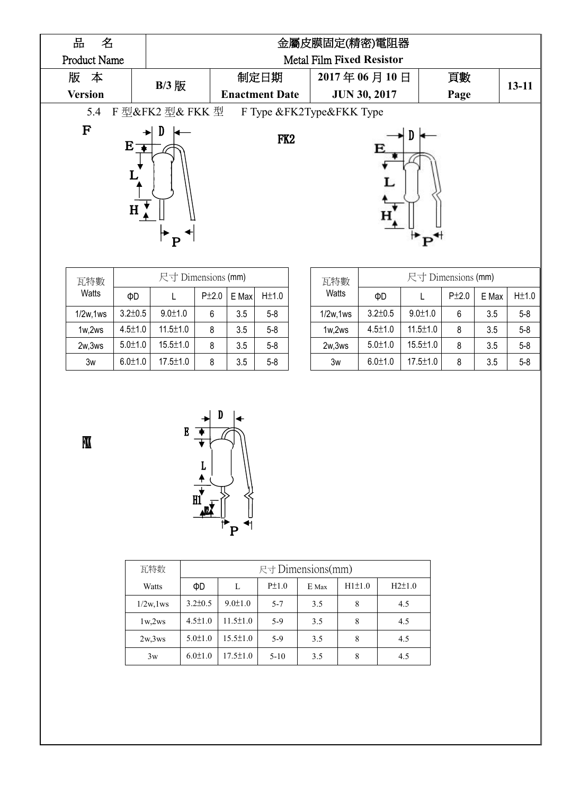| 品<br>名         |                                          |                       | 金屬皮膜固定(精密)電阻器                    |              |           |
|----------------|------------------------------------------|-----------------------|----------------------------------|--------------|-----------|
| Product Name   |                                          |                       | <b>Metal Film Fixed Resistor</b> |              |           |
| 版 本            | B/3 版                                    | 制定日期                  | 2017年06月10日                      | 頁數           | $13 - 11$ |
| <b>Version</b> |                                          | <b>Enactment Date</b> | <b>JUN 30, 2017</b>              | Page         |           |
| 5.4            | F 型&FK2 型& FKK 型                         |                       | F Type &FK2Type&FKK Type         |              |           |
| $\mathbf F$    | $E \rightarrow$<br>┻<br>$\mathbf H$<br>P | FK <sub>2</sub>       | F.<br>H                          | $\mathbf{P}$ |           |

| 瓦特數       |               | 尺寸 Dimensions (mm) |       | 瓦特數   |         |           |  |
|-----------|---------------|--------------------|-------|-------|---------|-----------|--|
| Watts     | ФD            |                    | P±2.0 | E Max | H±1.0   | Watts     |  |
| 1/2w, 1ws | $3.2 \pm 0.5$ | $9.0 \pm 1.0$      | 6     | 3.5   | $5-8$   | 1/2w, 1ws |  |
| 1w,2ws    | $4.5 \pm 1.0$ | $11.5 \pm 1.0$     | 8     | 3.5   | $5 - 8$ | 1w,2ws    |  |
| 2w,3ws    | $5.0 \pm 1.0$ | $15.5 \pm 1.0$     | 8     | 3.5   | $5 - 8$ | 2w,3ws    |  |
| 3w        | $6.0 \pm 1.0$ | $17.5 \pm 1.0$     | 8     | 3.5   | $5-8$   | 3w        |  |

| 瓦特數       |               | 尺寸 Dimensions (mm) |           |       |         |  |
|-----------|---------------|--------------------|-----------|-------|---------|--|
| Watts     | ФD            |                    | $P\pm2.0$ | E Max | H±1.0   |  |
| 1/2w, 1ws | $3.2 \pm 0.5$ | $9.0 \pm 1.0$      | 6         | 3.5   | $5 - 8$ |  |
| 1w,2ws    | $4.5 \pm 1.0$ | $11.5 \pm 1.0$     | 8         | 3.5   | $5 - 8$ |  |
| 2w,3ws    | $5.0 \pm 1.0$ | $15.5 \pm 1.0$     | 8         | 3.5   | $5 - 8$ |  |
| 3w        | $6.0 \pm 1.0$ | $17.5 \pm 1.0$     | 8         | 3.5   | $5 - 8$ |  |

 $\overline{\mathbf{M}}$ 



| 瓦特数          |               |                |            | $R +$ Dimensions(mm) |        |            |
|--------------|---------------|----------------|------------|----------------------|--------|------------|
| Watts        | ΦD            | L              | $P\pm 1.0$ | E Max                | H1±1.0 | $H2\pm1.0$ |
| $1/2w$ , lws | $3.2 \pm 0.5$ | $9.0 \pm 1.0$  | $5 - 7$    | 3.5                  | 8      | 4.5        |
| 1w,2ws       | $4.5 \pm 1.0$ | $11.5 \pm 1.0$ | $5-9$      | 3.5                  | 8      | 4.5        |
| 2w.3ws       | $5.0 \pm 1.0$ | $15.5 \pm 1.0$ | $5-9$      | 3.5                  | 8      | 4.5        |
| 3w           | $6.0 \pm 1.0$ | $17.5 \pm 1.0$ | $5 - 10$   | 3.5                  | 8      | 4.5        |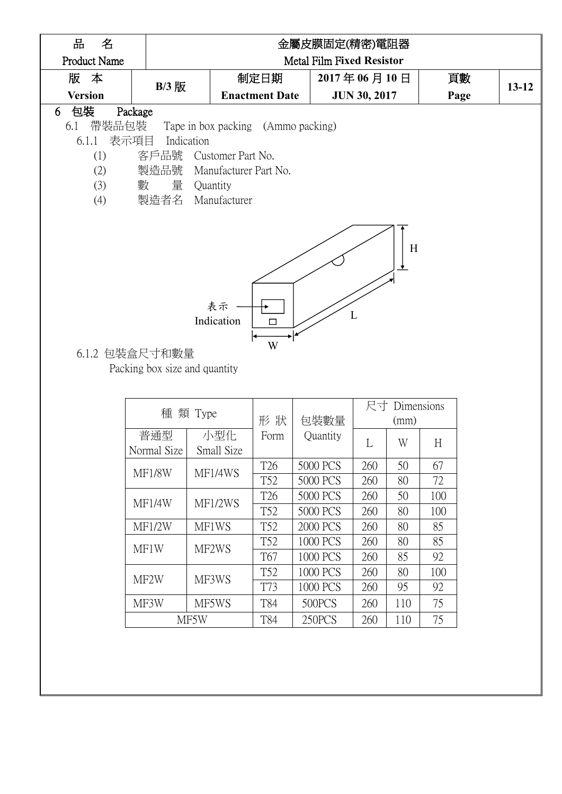| Product Name<br><b>Metal Film Fixed Resistor</b><br>2017年06月10日<br>版 本<br>頁數<br>制定日期<br>B/3 版<br>$13 - 12$<br><b>Version</b><br><b>Enactment Date</b><br><b>JUN 30, 2017</b><br>Page<br>包裝<br>Package<br>6<br>帶裝品包裝<br>Tape in box packing (Ammo packing)<br>6.1<br>表示項目<br>Indication<br>6.1.1<br>客戶品號<br>Customer Part No.<br>(1)<br>製造品號<br>(2)<br>Manufacturer Part No.<br>(3)<br>數<br>量<br>Quantity<br>製造者名<br>Manufacturer<br>(4)<br>H<br>表示<br>L<br>Indication<br>$\Box$<br>W<br>6.1.2 包裝盒尺寸和數量<br>Packing box size and quantity | 品<br>名 |     |             | 金屬皮膜固定(精密)電阻器 |   |  |
|-----------------------------------------------------------------------------------------------------------------------------------------------------------------------------------------------------------------------------------------------------------------------------------------------------------------------------------------------------------------------------------------------------------------------------------------------------------------------------------------------------------------------------------------|--------|-----|-------------|---------------|---|--|
|                                                                                                                                                                                                                                                                                                                                                                                                                                                                                                                                         |        |     |             |               |   |  |
|                                                                                                                                                                                                                                                                                                                                                                                                                                                                                                                                         |        |     |             |               |   |  |
|                                                                                                                                                                                                                                                                                                                                                                                                                                                                                                                                         |        |     |             |               |   |  |
|                                                                                                                                                                                                                                                                                                                                                                                                                                                                                                                                         |        |     |             |               |   |  |
|                                                                                                                                                                                                                                                                                                                                                                                                                                                                                                                                         |        |     |             |               |   |  |
|                                                                                                                                                                                                                                                                                                                                                                                                                                                                                                                                         |        |     |             |               |   |  |
|                                                                                                                                                                                                                                                                                                                                                                                                                                                                                                                                         |        |     |             |               |   |  |
|                                                                                                                                                                                                                                                                                                                                                                                                                                                                                                                                         |        |     |             |               |   |  |
|                                                                                                                                                                                                                                                                                                                                                                                                                                                                                                                                         |        |     |             |               |   |  |
|                                                                                                                                                                                                                                                                                                                                                                                                                                                                                                                                         |        |     |             |               |   |  |
|                                                                                                                                                                                                                                                                                                                                                                                                                                                                                                                                         |        |     |             |               |   |  |
|                                                                                                                                                                                                                                                                                                                                                                                                                                                                                                                                         |        |     | 形狀          |               |   |  |
| 尺寸 Dimensions<br>種 類 Type<br>包裝數量<br>(mm)                                                                                                                                                                                                                                                                                                                                                                                                                                                                                               |        | 普通型 | 小型化<br>Form | Quantity<br>W | H |  |

| 音俎坐               | 小室化        | Form | Quantity |     | W   | H   |
|-------------------|------------|------|----------|-----|-----|-----|
| Normal Size       | Small Size |      |          |     |     |     |
| MF1/8W            | MF1/4WS    | T26  | 5000 PCS | 260 | 50  | 67  |
|                   |            | T52  | 5000 PCS | 260 | 80  | 72  |
| MF1/4W            | MF1/2WS    | T26  | 5000 PCS | 260 | 50  | 100 |
|                   |            | T52  | 5000 PCS | 260 | 80  | 100 |
| MF1/2W            | MF1WS      | T52  | 2000 PCS | 260 | 80  | 85  |
| MF1W              | MF2WS      | T52  | 1000 PCS | 260 | 80  | 85  |
|                   |            | T67  | 1000 PCS | 260 | 85  | 92  |
| MF <sub>2</sub> W | MF3WS      | T52  | 1000 PCS | 260 | 80  | 100 |
|                   |            | T73  | 1000 PCS | 260 | 95  | 92  |
| MF3W              | MF5WS      | T84  | 500PCS   | 260 | 110 | 75  |
|                   | MF5W       | T84  | 250PCS   | 260 | 110 | 75  |